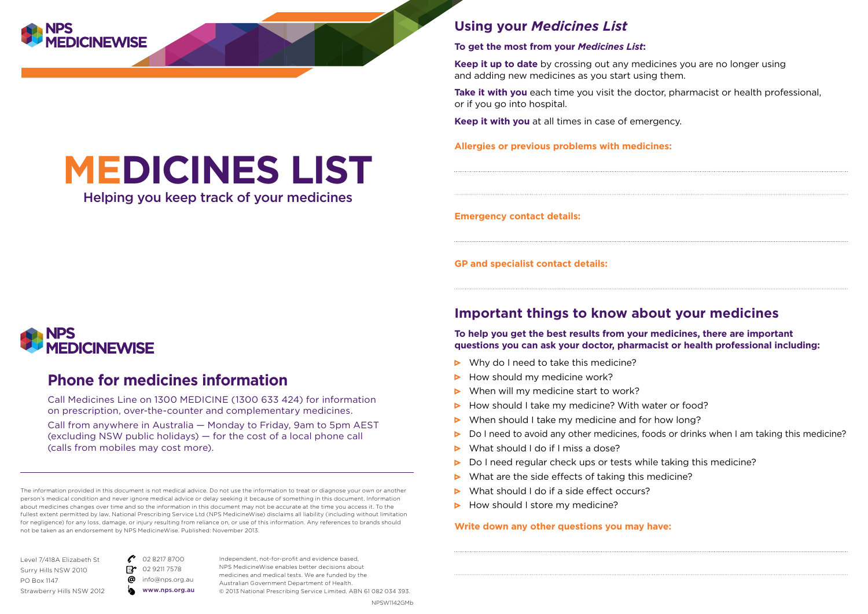

# **MEDICINES LIST**

Helping you keep track of your medicines

### **Using your** *Medicines List*

#### **To get the most from your** *Medicines List***:**

**Keep it up to date** by crossing out any medicines you are no longer using and adding new medicines as you start using them.

**Take it with you** each time you visit the doctor, pharmacist or health professional, or if you go into hospital.

**Keep it with you** at all times in case of emergency.

**Allergies or previous problems with medicines:**

**Emergency contact details:**

**GP and specialist contact details:**

# **AFDICINFWISF**

# **Phone for medicines information**

Call Medicines Line on 1300 MEDICINE (1300 633 424) for information on prescription, over-the-counter and complementary medicines. Call from anywhere in Australia — Monday to Friday, 9am to 5pm AEST (excluding NSW public holidays) — for the cost of a local phone call (calls from mobiles may cost more).

The information provided in this document is not medical advice. Do not use the information to treat or diagnose your own or another person's medical condition and never ignore medical advice or delay seeking it because of something in this document. Information about medicines changes over time and so the information in this document may not be accurate at the time you access it. To the fullest extent permitted by law, National Prescribing Service Ltd (NPS MedicineWise) disclaims all liability (including without limitation for negligence) for any loss, damage, or injury resulting from reliance on, or use of this information. Any references to brands should not be taken as an endorsement by NPS MedicineWise. Published: November 2013.

Level 7/418A Elizabeth St Surry Hills NSW 2010 PO Box 1147 Strawberry Hills NSW 2012

02 8217 8700  $\mathbb{E}$ 02 9211 7578 ര info@nps.org.au www.nps.org.au

Independent, not-for-profit and evidence based, NPS MedicineWise enables better decisions about medicines and medical tests. We are funded by the Australian Government Department of Health. © 2013 National Prescribing Service Limited. ABN 61 082 034 393.

#### NPSW1142GMb

## **Important things to know about your medicines**

**To help you get the best results from your medicines, there are important questions you can ask your doctor, pharmacist or health professional including:**

- $\triangleright$  Why do I need to take this medicine?
- How should my medicine work? ь
- When will my medicine start to work? ь
- Ы How should I take my medicine? With water or food?
- When should I take my medicine and for how long?  $\triangleright$
- Do I need to avoid any other medicines, foods or drinks when I am taking this medicine? ь
- What should I do if I miss a dose? ь
- $\triangleright$ Do I need regular check ups or tests while taking this medicine?
- What are the side effects of taking this medicine?  $\triangleright$
- What should I do if a side effect occurs?
- $\triangleright$  How should I store my medicine?

### **Write down any other questions you may have:**